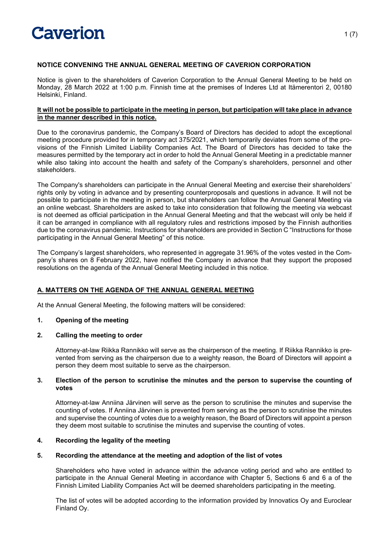

# **NOTICE CONVENING THE ANNUAL GENERAL MEETING OF CAVERION CORPORATION**

Notice is given to the shareholders of Caverion Corporation to the Annual General Meeting to be held on Monday, 28 March 2022 at 1:00 p.m. Finnish time at the premises of Inderes Ltd at Itämerentori 2, 00180 Helsinki, Finland.

#### **It will not be possible to participate in the meeting in person, but participation will take place in advance in the manner described in this notice.**

Due to the coronavirus pandemic, the Company's Board of Directors has decided to adopt the exceptional meeting procedure provided for in temporary act 375/2021, which temporarily deviates from some of the provisions of the Finnish Limited Liability Companies Act. The Board of Directors has decided to take the measures permitted by the temporary act in order to hold the Annual General Meeting in a predictable manner while also taking into account the health and safety of the Company's shareholders, personnel and other stakeholders.

The Company's shareholders can participate in the Annual General Meeting and exercise their shareholders' rights only by voting in advance and by presenting counterproposals and questions in advance. It will not be possible to participate in the meeting in person, but shareholders can follow the Annual General Meeting via an online webcast. Shareholders are asked to take into consideration that following the meeting via webcast is not deemed as official participation in the Annual General Meeting and that the webcast will only be held if it can be arranged in compliance with all regulatory rules and restrictions imposed by the Finnish authorities due to the coronavirus pandemic. Instructions for shareholders are provided in Section C "Instructions for those participating in the Annual General Meeting" of this notice.

The Company's largest shareholders, who represented in aggregate 31.96% of the votes vested in the Company's shares on 8 February 2022, have notified the Company in advance that they support the proposed resolutions on the agenda of the Annual General Meeting included in this notice.

# **A. MATTERS ON THE AGENDA OF THE ANNUAL GENERAL MEETING**

At the Annual General Meeting, the following matters will be considered:

# **1. Opening of the meeting**

# **2. Calling the meeting to order**

Attorney-at-law Riikka Rannikko will serve as the chairperson of the meeting. If Riikka Rannikko is prevented from serving as the chairperson due to a weighty reason, the Board of Directors will appoint a person they deem most suitable to serve as the chairperson.

#### **3. Election of the person to scrutinise the minutes and the person to supervise the counting of votes**

Attorney-at-law Anniina Järvinen will serve as the person to scrutinise the minutes and supervise the counting of votes. If Anniina Järvinen is prevented from serving as the person to scrutinise the minutes and supervise the counting of votes due to a weighty reason, the Board of Directors will appoint a person they deem most suitable to scrutinise the minutes and supervise the counting of votes.

# **4. Recording the legality of the meeting**

### **5. Recording the attendance at the meeting and adoption of the list of votes**

Shareholders who have voted in advance within the advance voting period and who are entitled to participate in the Annual General Meeting in accordance with Chapter 5, Sections 6 and 6 a of the Finnish Limited Liability Companies Act will be deemed shareholders participating in the meeting.

The list of votes will be adopted according to the information provided by Innovatics Oy and Euroclear Finland Oy.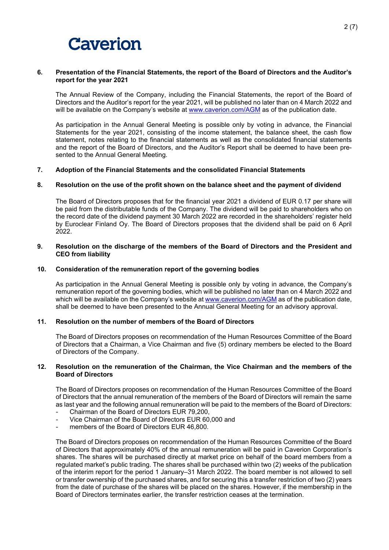

#### **6. Presentation of the Financial Statements, the report of the Board of Directors and the Auditor's report for the year 2021**

The Annual Review of the Company, including the Financial Statements, the report of the Board of Directors and the Auditor's report for the year 2021, will be published no later than on 4 March 2022 and will be available on the Company's website at [www.caverion.com/AGM](http://www.caverion.com/AGM) as of the publication date.

As participation in the Annual General Meeting is possible only by voting in advance, the Financial Statements for the year 2021, consisting of the income statement, the balance sheet, the cash flow statement, notes relating to the financial statements as well as the consolidated financial statements and the report of the Board of Directors, and the Auditor's Report shall be deemed to have been presented to the Annual General Meeting.

#### **7. Adoption of the Financial Statements and the consolidated Financial Statements**

#### **8. Resolution on the use of the profit shown on the balance sheet and the payment of dividend**

The Board of Directors proposes that for the financial year 2021 a dividend of EUR 0.17 per share will be paid from the distributable funds of the Company. The dividend will be paid to shareholders who on the record date of the dividend payment 30 March 2022 are recorded in the shareholders' register held by Euroclear Finland Oy. The Board of Directors proposes that the dividend shall be paid on 6 April 2022.

#### **9. Resolution on the discharge of the members of the Board of Directors and the President and CEO from liability**

#### **10. Consideration of the remuneration report of the governing bodies**

As participation in the Annual General Meeting is possible only by voting in advance, the Company's remuneration report of the governing bodies, which will be published no later than on 4 March 2022 and which will be available on the Company's website at [www.caverion.com/AGM](http://www.caverion.com/AGM) as of the publication date, shall be deemed to have been presented to the Annual General Meeting for an advisory approval.

### **11. Resolution on the number of members of the Board of Directors**

The Board of Directors proposes on recommendation of the Human Resources Committee of the Board of Directors that a Chairman, a Vice Chairman and five (5) ordinary members be elected to the Board of Directors of the Company.

#### **12. Resolution on the remuneration of the Chairman, the Vice Chairman and the members of the Board of Directors**

The Board of Directors proposes on recommendation of the Human Resources Committee of the Board of Directors that the annual remuneration of the members of the Board of Directors will remain the same as last year and the following annual remuneration will be paid to the members of the Board of Directors:

- Chairman of the Board of Directors EUR 79,200.
- Vice Chairman of the Board of Directors EUR 60,000 and
- members of the Board of Directors EUR 46,800.

The Board of Directors proposes on recommendation of the Human Resources Committee of the Board of Directors that approximately 40% of the annual remuneration will be paid in Caverion Corporation's shares. The shares will be purchased directly at market price on behalf of the board members from a regulated market's public trading. The shares shall be purchased within two (2) weeks of the publication of the interim report for the period 1 January–31 March 2022. The board member is not allowed to sell or transfer ownership of the purchased shares, and for securing this a transfer restriction of two (2) years from the date of purchase of the shares will be placed on the shares. However, if the membership in the Board of Directors terminates earlier, the transfer restriction ceases at the termination.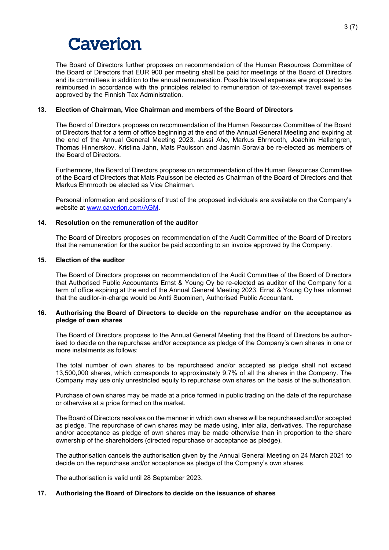The Board of Directors further proposes on recommendation of the Human Resources Committee of the Board of Directors that EUR 900 per meeting shall be paid for meetings of the Board of Directors and its committees in addition to the annual remuneration. Possible travel expenses are proposed to be reimbursed in accordance with the principles related to remuneration of tax-exempt travel expenses approved by the Finnish Tax Administration.

#### **13. Election of Chairman, Vice Chairman and members of the Board of Directors**

The Board of Directors proposes on recommendation of the Human Resources Committee of the Board of Directors that for a term of office beginning at the end of the Annual General Meeting and expiring at the end of the Annual General Meeting 2023, Jussi Aho, Markus Ehrnrooth, Joachim Hallengren, Thomas Hinnerskov, Kristina Jahn, Mats Paulsson and Jasmin Soravia be re-elected as members of the Board of Directors.

Furthermore, the Board of Directors proposes on recommendation of the Human Resources Committee of the Board of Directors that Mats Paulsson be elected as Chairman of the Board of Directors and that Markus Ehrnrooth be elected as Vice Chairman.

Personal information and positions of trust of the proposed individuals are available on the Company's website at [www.caverion.com/AGM.](http://www.caverion.com/AGM)

### **14. Resolution on the remuneration of the auditor**

The Board of Directors proposes on recommendation of the Audit Committee of the Board of Directors that the remuneration for the auditor be paid according to an invoice approved by the Company.

#### **15. Election of the auditor**

The Board of Directors proposes on recommendation of the Audit Committee of the Board of Directors that Authorised Public Accountants Ernst & Young Oy be re-elected as auditor of the Company for a term of office expiring at the end of the Annual General Meeting 2023. Ernst & Young Oy has informed that the auditor-in-charge would be Antti Suominen, Authorised Public Accountant.

#### **16. Authorising the Board of Directors to decide on the repurchase and/or on the acceptance as pledge of own shares**

The Board of Directors proposes to the Annual General Meeting that the Board of Directors be authorised to decide on the repurchase and/or acceptance as pledge of the Company's own shares in one or more instalments as follows:

The total number of own shares to be repurchased and/or accepted as pledge shall not exceed 13,500,000 shares, which corresponds to approximately 9.7% of all the shares in the Company. The Company may use only unrestricted equity to repurchase own shares on the basis of the authorisation.

Purchase of own shares may be made at a price formed in public trading on the date of the repurchase or otherwise at a price formed on the market.

The Board of Directors resolves on the manner in which own shares will be repurchased and/or accepted as pledge. The repurchase of own shares may be made using, inter alia, derivatives. The repurchase and/or acceptance as pledge of own shares may be made otherwise than in proportion to the share ownership of the shareholders (directed repurchase or acceptance as pledge).

The authorisation cancels the authorisation given by the Annual General Meeting on 24 March 2021 to decide on the repurchase and/or acceptance as pledge of the Company's own shares.

The authorisation is valid until 28 September 2023.

# **17. Authorising the Board of Directors to decide on the issuance of shares**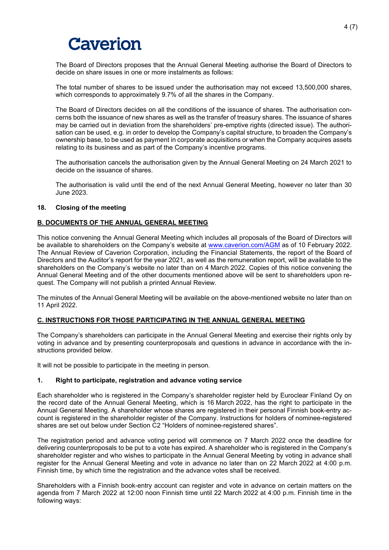The Board of Directors proposes that the Annual General Meeting authorise the Board of Directors to decide on share issues in one or more instalments as follows:

The total number of shares to be issued under the authorisation may not exceed 13,500,000 shares, which corresponds to approximately 9.7% of all the shares in the Company.

The Board of Directors decides on all the conditions of the issuance of shares. The authorisation concerns both the issuance of new shares as well as the transfer of treasury shares. The issuance of shares may be carried out in deviation from the shareholders' pre-emptive rights (directed issue). The authorisation can be used, e.g. in order to develop the Company's capital structure, to broaden the Company's ownership base, to be used as payment in corporate acquisitions or when the Company acquires assets relating to its business and as part of the Company's incentive programs.

The authorisation cancels the authorisation given by the Annual General Meeting on 24 March 2021 to decide on the issuance of shares.

The authorisation is valid until the end of the next Annual General Meeting, however no later than 30 June 2023.

#### **18. Closing of the meeting**

# **B. DOCUMENTS OF THE ANNUAL GENERAL MEETING**

This notice convening the Annual General Meeting which includes all proposals of the Board of Directors will be available to shareholders on the Company's website at [www.caverion.com/AGM](http://www.caverion.com/AGM) as of 10 February 2022. The Annual Review of Caverion Corporation, including the Financial Statements, the report of the Board of Directors and the Auditor's report for the year 2021, as well as the remuneration report, will be available to the shareholders on the Company's website no later than on 4 March 2022. Copies of this notice convening the Annual General Meeting and of the other documents mentioned above will be sent to shareholders upon request. The Company will not publish a printed Annual Review.

The minutes of the Annual General Meeting will be available on the above-mentioned website no later than on 11 April 2022.

#### **C. INSTRUCTIONS FOR THOSE PARTICIPATING IN THE ANNUAL GENERAL MEETING**

The Company's shareholders can participate in the Annual General Meeting and exercise their rights only by voting in advance and by presenting counterproposals and questions in advance in accordance with the instructions provided below.

It will not be possible to participate in the meeting in person.

#### **1. Right to participate, registration and advance voting service**

Each shareholder who is registered in the Company's shareholder register held by Euroclear Finland Oy on the record date of the Annual General Meeting, which is 16 March 2022, has the right to participate in the Annual General Meeting. A shareholder whose shares are registered in their personal Finnish book-entry account is registered in the shareholder register of the Company. Instructions for holders of nominee-registered shares are set out below under Section C2 "Holders of nominee-registered shares".

The registration period and advance voting period will commence on 7 March 2022 once the deadline for delivering counterproposals to be put to a vote has expired. A shareholder who is registered in the Company's shareholder register and who wishes to participate in the Annual General Meeting by voting in advance shall register for the Annual General Meeting and vote in advance no later than on 22 March 2022 at 4:00 p.m. Finnish time, by which time the registration and the advance votes shall be received.

Shareholders with a Finnish book-entry account can register and vote in advance on certain matters on the agenda from 7 March 2022 at 12:00 noon Finnish time until 22 March 2022 at 4:00 p.m. Finnish time in the following ways: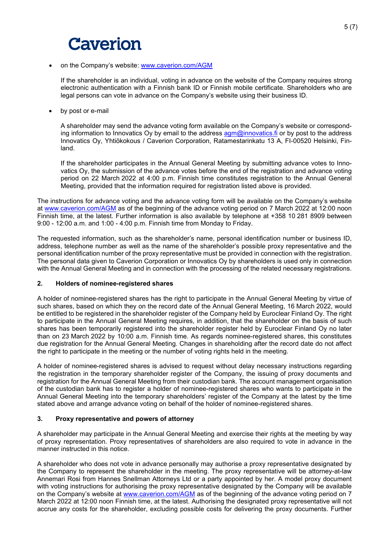#### • on the Company's website: [www.caverion.com/AGM](http://www.caverion.com/AGM)

If the shareholder is an individual, voting in advance on the website of the Company requires strong electronic authentication with a Finnish bank ID or Finnish mobile certificate. Shareholders who are legal persons can vote in advance on the Company's website using their business ID.

by post or e-mail

A shareholder may send the advance voting form available on the Company's website or corresponding information to Innovatics Oy by email to the address  $\frac{1}{2}$  amoinovatics. fi or by post to the address Innovatics Oy, Yhtiökokous / Caverion Corporation, Ratamestarinkatu 13 A, FI-00520 Helsinki, Finland.

If the shareholder participates in the Annual General Meeting by submitting advance votes to Innovatics Oy, the submission of the advance votes before the end of the registration and advance voting period on 22 March 2022 at 4:00 p.m. Finnish time constitutes registration to the Annual General Meeting, provided that the information required for registration listed above is provided.

The instructions for advance voting and the advance voting form will be available on the Company's website at [www.caverion.com/AGM](http://www.caverion.com/AGM) as of the beginning of the advance voting period on 7 March 2022 at 12:00 noon Finnish time, at the latest. Further information is also available by telephone at +358 10 281 8909 between 9:00 - 12:00 a.m. and 1:00 - 4:00 p.m. Finnish time from Monday to Friday.

The requested information, such as the shareholder's name, personal identification number or business ID, address, telephone number as well as the name of the shareholder's possible proxy representative and the personal identification number of the proxy representative must be provided in connection with the registration. The personal data given to Caverion Corporation or Innovatics Oy by shareholders is used only in connection with the Annual General Meeting and in connection with the processing of the related necessary registrations.

# **2. Holders of nominee-registered shares**

A holder of nominee-registered shares has the right to participate in the Annual General Meeting by virtue of such shares, based on which they on the record date of the Annual General Meeting, 16 March 2022, would be entitled to be registered in the shareholder register of the Company held by Euroclear Finland Oy. The right to participate in the Annual General Meeting requires, in addition, that the shareholder on the basis of such shares has been temporarily registered into the shareholder register held by Euroclear Finland Oy no later than on 23 March 2022 by 10:00 a.m. Finnish time. As regards nominee-registered shares, this constitutes due registration for the Annual General Meeting. Changes in shareholding after the record date do not affect the right to participate in the meeting or the number of voting rights held in the meeting.

A holder of nominee-registered shares is advised to request without delay necessary instructions regarding the registration in the temporary shareholder register of the Company, the issuing of proxy documents and registration for the Annual General Meeting from their custodian bank. The account management organisation of the custodian bank has to register a holder of nominee-registered shares who wants to participate in the Annual General Meeting into the temporary shareholders' register of the Company at the latest by the time stated above and arrange advance voting on behalf of the holder of nominee-registered shares.

# **3. Proxy representative and powers of attorney**

A shareholder may participate in the Annual General Meeting and exercise their rights at the meeting by way of proxy representation. Proxy representatives of shareholders are also required to vote in advance in the manner instructed in this notice.

A shareholder who does not vote in advance personally may authorise a proxy representative designated by the Company to represent the shareholder in the meeting. The proxy representative will be attorney-at-law Annemari Rosi from Hannes Snellman Attorneys Ltd or a party appointed by her. A model proxy document with voting instructions for authorising the proxy representative designated by the Company will be available on the Company's website at [www.caverion.com/AGM](http://www.caverion.com/AGM) as of the beginning of the advance voting period on 7 March 2022 at 12:00 noon Finnish time, at the latest. Authorising the designated proxy representative will not accrue any costs for the shareholder, excluding possible costs for delivering the proxy documents. Further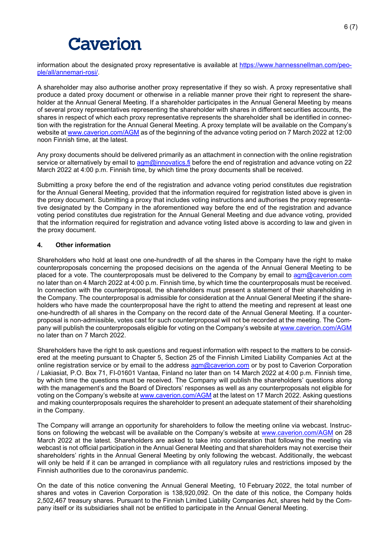information about the designated proxy representative is available at [https://www.hannessnellman.com/peo](https://www.hannessnellman.com/people/all/annemari-rosi/)[ple/all/annemari-rosi/.](https://www.hannessnellman.com/people/all/annemari-rosi/)

A shareholder may also authorise another proxy representative if they so wish. A proxy representative shall produce a dated proxy document or otherwise in a reliable manner prove their right to represent the shareholder at the Annual General Meeting. If a shareholder participates in the Annual General Meeting by means of several proxy representatives representing the shareholder with shares in different securities accounts, the shares in respect of which each proxy representative represents the shareholder shall be identified in connection with the registration for the Annual General Meeting. A proxy template will be available on the Company's website at [www.caverion.com/AGM](http://www.caverion.com/AGM) as of the beginning of the advance voting period on 7 March 2022 at 12:00 noon Finnish time, at the latest.

Any proxy documents should be delivered primarily as an attachment in connection with the online registration service or alternatively by email to [agm@innovatics.fi](mailto:agm@innovatics.fi) before the end of registration and advance voting on 22 March 2022 at 4:00 p.m. Finnish time, by which time the proxy documents shall be received.

Submitting a proxy before the end of the registration and advance voting period constitutes due registration for the Annual General Meeting, provided that the information required for registration listed above is given in the proxy document. Submitting a proxy that includes voting instructions and authorises the proxy representative designated by the Company in the aforementioned way before the end of the registration and advance voting period constitutes due registration for the Annual General Meeting and due advance voting, provided that the information required for registration and advance voting listed above is according to law and given in the proxy document.

# **4. Other information**

Shareholders who hold at least one one-hundredth of all the shares in the Company have the right to make counterproposals concerning the proposed decisions on the agenda of the Annual General Meeting to be placed for a vote. The counterproposals must be delivered to the Company by email to [agm@caverion.com](mailto:agm@caverion.com) no later than on 4 March 2022 at 4:00 p.m. Finnish time, by which time the counterproposals must be received. In connection with the counterproposal, the shareholders must present a statement of their shareholding in the Company. The counterproposal is admissible for consideration at the Annual General Meeting if the shareholders who have made the counterproposal have the right to attend the meeting and represent at least one one-hundredth of all shares in the Company on the record date of the Annual General Meeting. If a counterproposal is non-admissible, votes cast for such counterproposal will not be recorded at the meeting. The Company will publish the counterproposals eligible for voting on the Company's website at [www.caverion.com/AGM](http://www.caverion.com/AGM) no later than on 7 March 2022.

Shareholders have the right to ask questions and request information with respect to the matters to be considered at the meeting pursuant to Chapter 5, Section 25 of the Finnish Limited Liability Companies Act at the online registration service or by email to the address **agm@caverion.com** or by post to Caverion Corporation / Lakiasiat, P.O. Box 71, FI-01601 Vantaa, Finland no later than on 14 March 2022 at 4:00 p.m. Finnish time, by which time the questions must be received. The Company will publish the shareholders' questions along with the management's and the Board of Directors' responses as well as any counterproposals not eligible for voting on the Company's website a[t www.caverion.com/AGM](http://www.caverion.com/AGM) at the latest on 17 March 2022. Asking questions and making counterproposals requires the shareholder to present an adequate statement of their shareholding in the Company.

The Company will arrange an opportunity for shareholders to follow the meeting online via webcast. Instructions on following the webcast will be available on the Company's website at [www.caverion.com/AGM](http://www.caverion.com/AGM) on 28 March 2022 at the latest. Shareholders are asked to take into consideration that following the meeting via webcast is not official participation in the Annual General Meeting and that shareholders may not exercise their shareholders' rights in the Annual General Meeting by only following the webcast. Additionally, the webcast will only be held if it can be arranged in compliance with all regulatory rules and restrictions imposed by the Finnish authorities due to the coronavirus pandemic.

On the date of this notice convening the Annual General Meeting, 10 February 2022, the total number of shares and votes in Caverion Corporation is 138,920,092. On the date of this notice, the Company holds 2,502,467 treasury shares. Pursuant to the Finnish Limited Liability Companies Act, shares held by the Company itself or its subsidiaries shall not be entitled to participate in the Annual General Meeting.